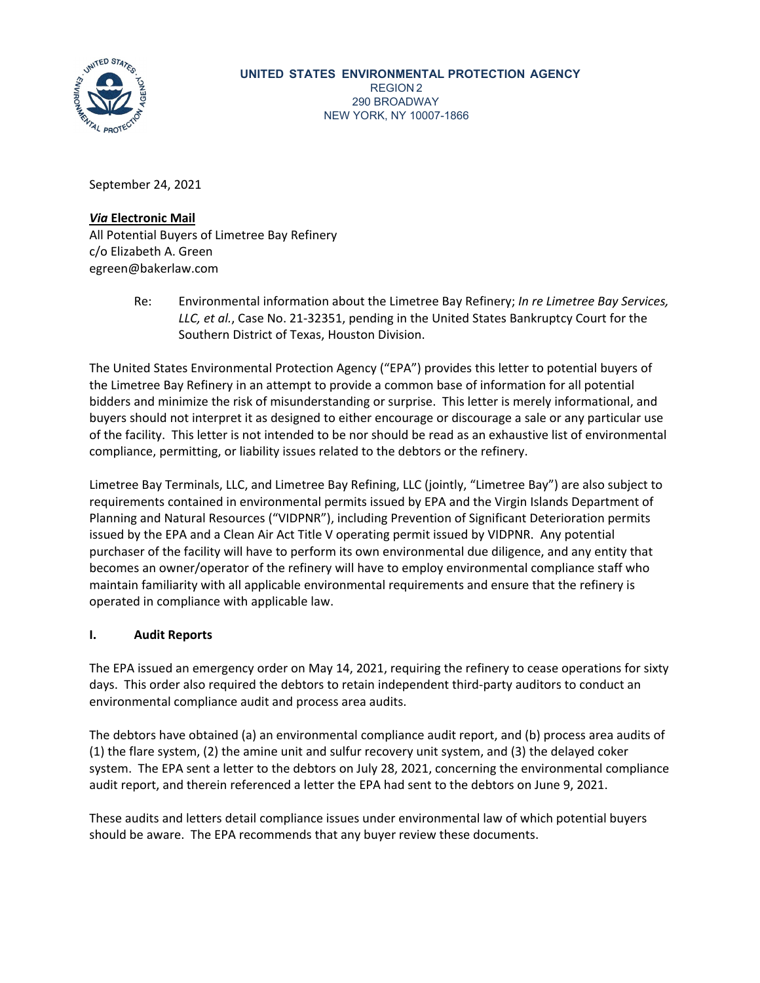

September 24, 2021

## *Via* **Electronic Mail**

All Potential Buyers of Limetree Bay Refinery c/o Elizabeth A. Green egreen@bakerlaw.com

> Re: Environmental information about the Limetree Bay Refinery; *In re Limetree Bay Services, LLC, et al.*, Case No. 21-32351, pending in the United States Bankruptcy Court for the Southern District of Texas, Houston Division.

The United States Environmental Protection Agency ("EPA") provides this letter to potential buyers of the Limetree Bay Refinery in an attempt to provide a common base of information for all potential bidders and minimize the risk of misunderstanding or surprise. This letter is merely informational, and buyers should not interpret it as designed to either encourage or discourage a sale or any particular use of the facility. This letter is not intended to be nor should be read as an exhaustive list of environmental compliance, permitting, or liability issues related to the debtors or the refinery.

Limetree Bay Terminals, LLC, and Limetree Bay Refining, LLC (jointly, "Limetree Bay") are also subject to requirements contained in environmental permits issued by EPA and the Virgin Islands Department of Planning and Natural Resources ("VIDPNR"), including Prevention of Significant Deterioration permits issued by the EPA and a Clean Air Act Title V operating permit issued by VIDPNR. Any potential purchaser of the facility will have to perform its own environmental due diligence, and any entity that becomes an owner/operator of the refinery will have to employ environmental compliance staff who maintain familiarity with all applicable environmental requirements and ensure that the refinery is operated in compliance with applicable law.

# **I. Audit Reports**

The EPA issued an emergency order on May 14, 2021, requiring the refinery to cease operations for sixty days. This order also required the debtors to retain independent third-party auditors to conduct an environmental compliance audit and process area audits.

The debtors have obtained (a) an environmental compliance audit report, and (b) process area audits of (1) the flare system, (2) the amine unit and sulfur recovery unit system, and (3) the delayed coker system. The EPA sent a letter to the debtors on July 28, 2021, concerning the environmental compliance audit report, and therein referenced a letter the EPA had sent to the debtors on June 9, 2021.

These audits and letters detail compliance issues under environmental law of which potential buyers should be aware. The EPA recommends that any buyer review these documents.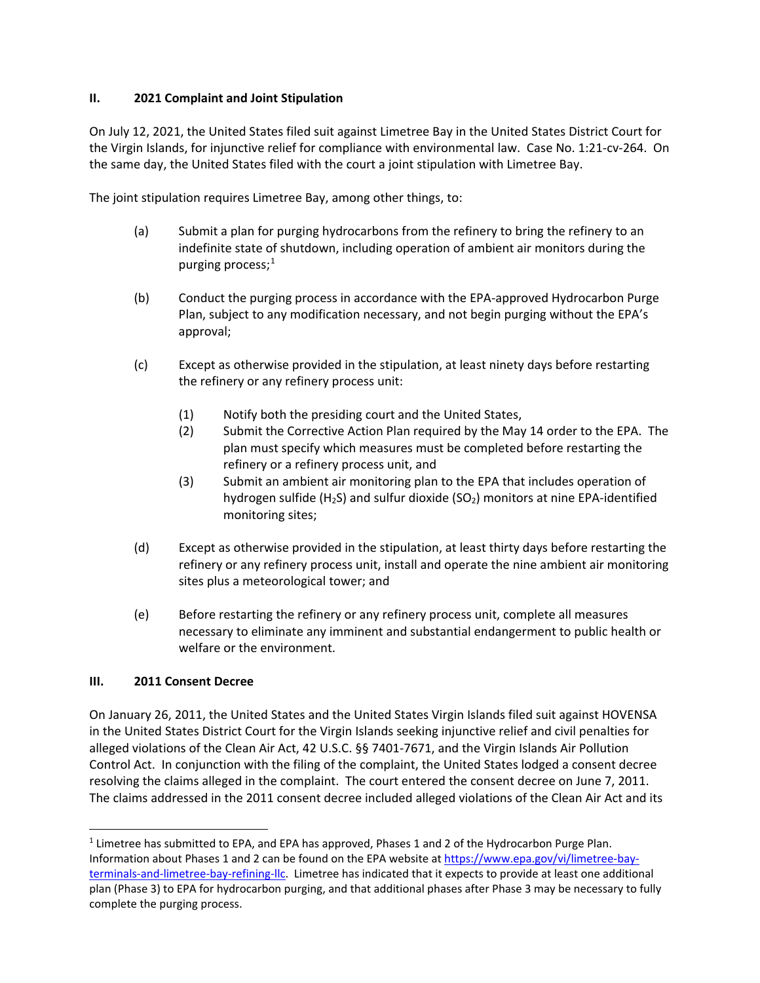## **II. 2021 Complaint and Joint Stipulation**

On July 12, 2021, the United States filed suit against Limetree Bay in the United States District Court for the Virgin Islands, for injunctive relief for compliance with environmental law. Case No. 1:21-cv-264. On the same day, the United States filed with the court a joint stipulation with Limetree Bay.

The joint stipulation requires Limetree Bay, among other things, to:

- (a) Submit a plan for purging hydrocarbons from the refinery to bring the refinery to an indefinite state of shutdown, including operation of ambient air monitors during the purging process; $<sup>1</sup>$  $<sup>1</sup>$  $<sup>1</sup>$ </sup>
- (b) Conduct the purging process in accordance with the EPA-approved Hydrocarbon Purge Plan, subject to any modification necessary, and not begin purging without the EPA's approval;
- (c) Except as otherwise provided in the stipulation, at least ninety days before restarting the refinery or any refinery process unit:
	- (1) Notify both the presiding court and the United States,
	- (2) Submit the Corrective Action Plan required by the May 14 order to the EPA. The plan must specify which measures must be completed before restarting the refinery or a refinery process unit, and
	- (3) Submit an ambient air monitoring plan to the EPA that includes operation of hydrogen sulfide (H<sub>2</sub>S) and sulfur dioxide (SO<sub>2</sub>) monitors at nine EPA-identified monitoring sites;
- (d) Except as otherwise provided in the stipulation, at least thirty days before restarting the refinery or any refinery process unit, install and operate the nine ambient air monitoring sites plus a meteorological tower; and
- (e) Before restarting the refinery or any refinery process unit, complete all measures necessary to eliminate any imminent and substantial endangerment to public health or welfare or the environment.

### **III. 2011 Consent Decree**

On January 26, 2011, the United States and the United States Virgin Islands filed suit against HOVENSA in the United States District Court for the Virgin Islands seeking injunctive relief and civil penalties for alleged violations of the Clean Air Act, 42 U.S.C. §§ 7401-7671, and the Virgin Islands Air Pollution Control Act. In conjunction with the filing of the complaint, the United States lodged a consent decree resolving the claims alleged in the complaint. The court entered the consent decree on June 7, 2011. The claims addressed in the 2011 consent decree included alleged violations of the Clean Air Act and its

<span id="page-1-0"></span><sup>&</sup>lt;sup>1</sup> Limetree has submitted to EPA, and EPA has approved, Phases 1 and 2 of the Hydrocarbon Purge Plan. Information about Phases 1 and 2 can be found on the EPA website at [https://www.epa.gov/vi/limetree-bay](https://www.epa.gov/vi/limetree-bay-terminals-and-limetree-bay-refining-llc)[terminals-and-limetree-bay-refining-llc.](https://www.epa.gov/vi/limetree-bay-terminals-and-limetree-bay-refining-llc) Limetree has indicated that it expects to provide at least one additional plan (Phase 3) to EPA for hydrocarbon purging, and that additional phases after Phase 3 may be necessary to fully complete the purging process.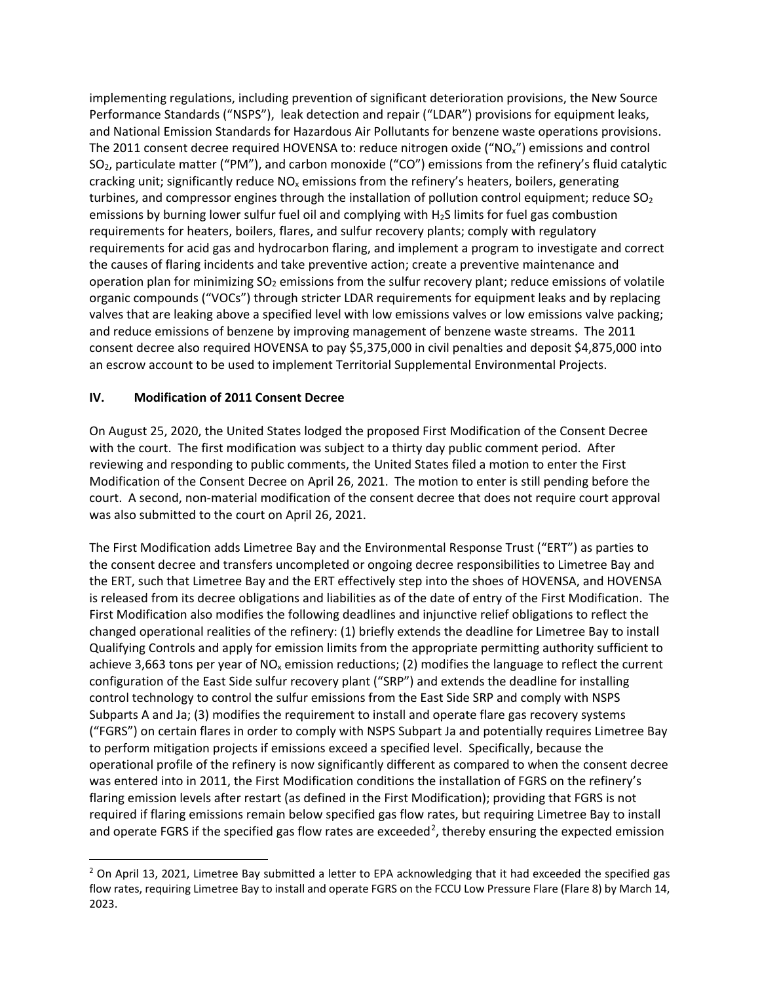implementing regulations, including prevention of significant deterioration provisions, the New Source Performance Standards ("NSPS"), leak detection and repair ("LDAR") provisions for equipment leaks, and National Emission Standards for Hazardous Air Pollutants for benzene waste operations provisions. The 2011 consent decree required HOVENSA to: reduce nitrogen oxide ("NOx") emissions and control SO2, particulate matter ("PM"), and carbon monoxide ("CO") emissions from the refinery's fluid catalytic cracking unit; significantly reduce  $NO<sub>x</sub>$  emissions from the refinery's heaters, boilers, generating turbines, and compressor engines through the installation of pollution control equipment; reduce  $SO_2$ emissions by burning lower sulfur fuel oil and complying with H2S limits for fuel gas combustion requirements for heaters, boilers, flares, and sulfur recovery plants; comply with regulatory requirements for acid gas and hydrocarbon flaring, and implement a program to investigate and correct the causes of flaring incidents and take preventive action; create a preventive maintenance and operation plan for minimizing  $SO<sub>2</sub>$  emissions from the sulfur recovery plant; reduce emissions of volatile organic compounds ("VOCs") through stricter LDAR requirements for equipment leaks and by replacing valves that are leaking above a specified level with low emissions valves or low emissions valve packing; and reduce emissions of benzene by improving management of benzene waste streams. The 2011 consent decree also required HOVENSA to pay \$5,375,000 in civil penalties and deposit \$4,875,000 into an escrow account to be used to implement Territorial Supplemental Environmental Projects.

## **IV. Modification of 2011 Consent Decree**

On August 25, 2020, the United States lodged the proposed First Modification of the Consent Decree with the court. The first modification was subject to a thirty day public comment period. After reviewing and responding to public comments, the United States filed a motion to enter the First Modification of the Consent Decree on April 26, 2021. The motion to enter is still pending before the court. A second, non-material modification of the consent decree that does not require court approval was also submitted to the court on April 26, 2021.

The First Modification adds Limetree Bay and the Environmental Response Trust ("ERT") as parties to the consent decree and transfers uncompleted or ongoing decree responsibilities to Limetree Bay and the ERT, such that Limetree Bay and the ERT effectively step into the shoes of HOVENSA, and HOVENSA is released from its decree obligations and liabilities as of the date of entry of the First Modification. The First Modification also modifies the following deadlines and injunctive relief obligations to reflect the changed operational realities of the refinery: (1) briefly extends the deadline for Limetree Bay to install Qualifying Controls and apply for emission limits from the appropriate permitting authority sufficient to achieve 3,663 tons per year of  $NO<sub>x</sub>$  emission reductions; (2) modifies the language to reflect the current configuration of the East Side sulfur recovery plant ("SRP") and extends the deadline for installing control technology to control the sulfur emissions from the East Side SRP and comply with NSPS Subparts A and Ja; (3) modifies the requirement to install and operate flare gas recovery systems ("FGRS") on certain flares in order to comply with NSPS Subpart Ja and potentially requires Limetree Bay to perform mitigation projects if emissions exceed a specified level. Specifically, because the operational profile of the refinery is now significantly different as compared to when the consent decree was entered into in 2011, the First Modification conditions the installation of FGRS on the refinery's flaring emission levels after restart (as defined in the First Modification); providing that FGRS is not required if flaring emissions remain below specified gas flow rates, but requiring Limetree Bay to install and operate FGRS if the specified gas flow rates are exceeded<sup>[2](#page-2-0)</sup>, thereby ensuring the expected emission

<span id="page-2-0"></span><sup>&</sup>lt;sup>2</sup> On April 13, 2021, Limetree Bay submitted a letter to EPA acknowledging that it had exceeded the specified gas flow rates, requiring Limetree Bay to install and operate FGRS on the FCCU Low Pressure Flare (Flare 8) by March 14, 2023.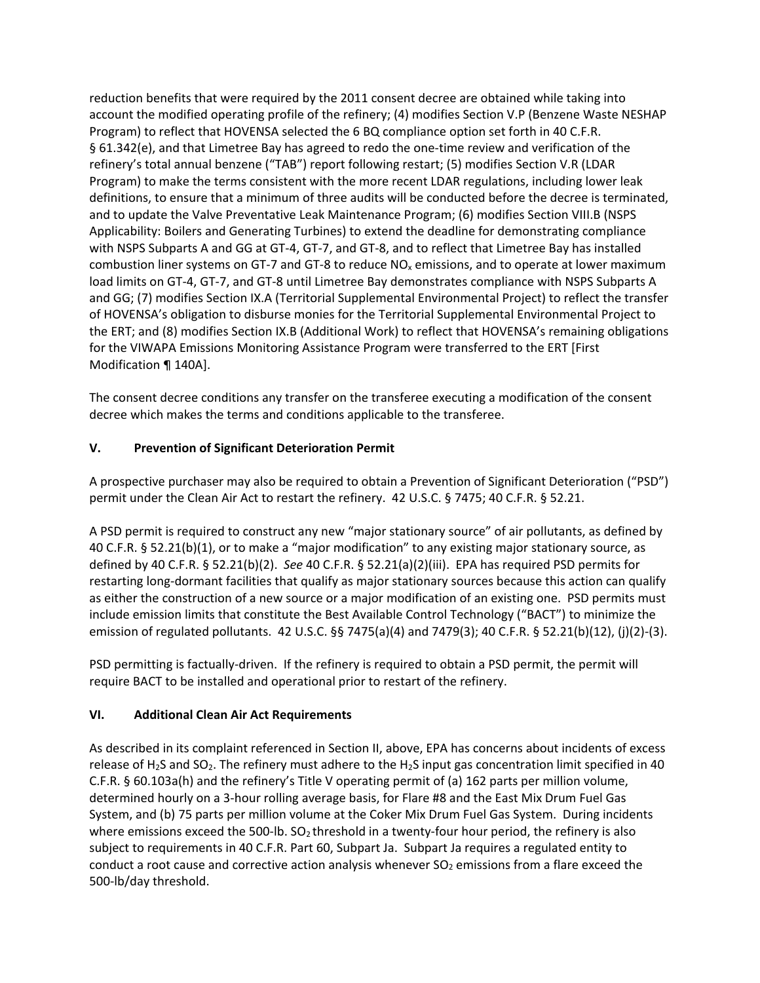reduction benefits that were required by the 2011 consent decree are obtained while taking into account the modified operating profile of the refinery; (4) modifies Section V.P (Benzene Waste NESHAP Program) to reflect that HOVENSA selected the 6 BQ compliance option set forth in 40 C.F.R. § 61.342(e), and that Limetree Bay has agreed to redo the one-time review and verification of the refinery's total annual benzene ("TAB") report following restart; (5) modifies Section V.R (LDAR Program) to make the terms consistent with the more recent LDAR regulations, including lower leak definitions, to ensure that a minimum of three audits will be conducted before the decree is terminated, and to update the Valve Preventative Leak Maintenance Program; (6) modifies Section VIII.B (NSPS Applicability: Boilers and Generating Turbines) to extend the deadline for demonstrating compliance with NSPS Subparts A and GG at GT-4, GT-7, and GT-8, and to reflect that Limetree Bay has installed combustion liner systems on GT-7 and GT-8 to reduce  $NO<sub>x</sub>$  emissions, and to operate at lower maximum load limits on GT-4, GT-7, and GT-8 until Limetree Bay demonstrates compliance with NSPS Subparts A and GG; (7) modifies Section IX.A (Territorial Supplemental Environmental Project) to reflect the transfer of HOVENSA's obligation to disburse monies for the Territorial Supplemental Environmental Project to the ERT; and (8) modifies Section IX.B (Additional Work) to reflect that HOVENSA's remaining obligations for the VIWAPA Emissions Monitoring Assistance Program were transferred to the ERT [First Modification ¶ 140A].

The consent decree conditions any transfer on the transferee executing a modification of the consent decree which makes the terms and conditions applicable to the transferee.

# **V. Prevention of Significant Deterioration Permit**

A prospective purchaser may also be required to obtain a Prevention of Significant Deterioration ("PSD") permit under the Clean Air Act to restart the refinery. 42 U.S.C. § 7475; 40 C.F.R. § 52.21.

A PSD permit is required to construct any new "major stationary source" of air pollutants, as defined by 40 C.F.R. § 52.21(b)(1), or to make a "major modification" to any existing major stationary source, as defined by 40 C.F.R. § 52.21(b)(2). *See* 40 C.F.R. § 52.21(a)(2)(iii). EPA has required PSD permits for restarting long-dormant facilities that qualify as major stationary sources because this action can qualify as either the construction of a new source or a major modification of an existing one. PSD permits must include emission limits that constitute the Best Available Control Technology ("BACT") to minimize the emission of regulated pollutants. 42 U.S.C. §§ 7475(a)(4) and 7479(3); 40 C.F.R. § 52.21(b)(12), (j)(2)-(3).

PSD permitting is factually-driven. If the refinery is required to obtain a PSD permit, the permit will require BACT to be installed and operational prior to restart of the refinery.

# **VI. Additional Clean Air Act Requirements**

As described in its complaint referenced in Section II, above, EPA has concerns about incidents of excess release of H<sub>2</sub>S and SO<sub>2</sub>. The refinery must adhere to the H<sub>2</sub>S input gas concentration limit specified in 40 C.F.R. § 60.103a(h) and the refinery's Title V operating permit of (a) 162 parts per million volume, determined hourly on a 3-hour rolling average basis, for Flare #8 and the East Mix Drum Fuel Gas System, and (b) 75 parts per million volume at the Coker Mix Drum Fuel Gas System. During incidents where emissions exceed the 500-lb.  $SO_2$  threshold in a twenty-four hour period, the refinery is also subject to requirements in 40 C.F.R. Part 60, Subpart Ja. Subpart Ja requires a regulated entity to conduct a root cause and corrective action analysis whenever  $SO<sub>2</sub>$  emissions from a flare exceed the 500-lb/day threshold.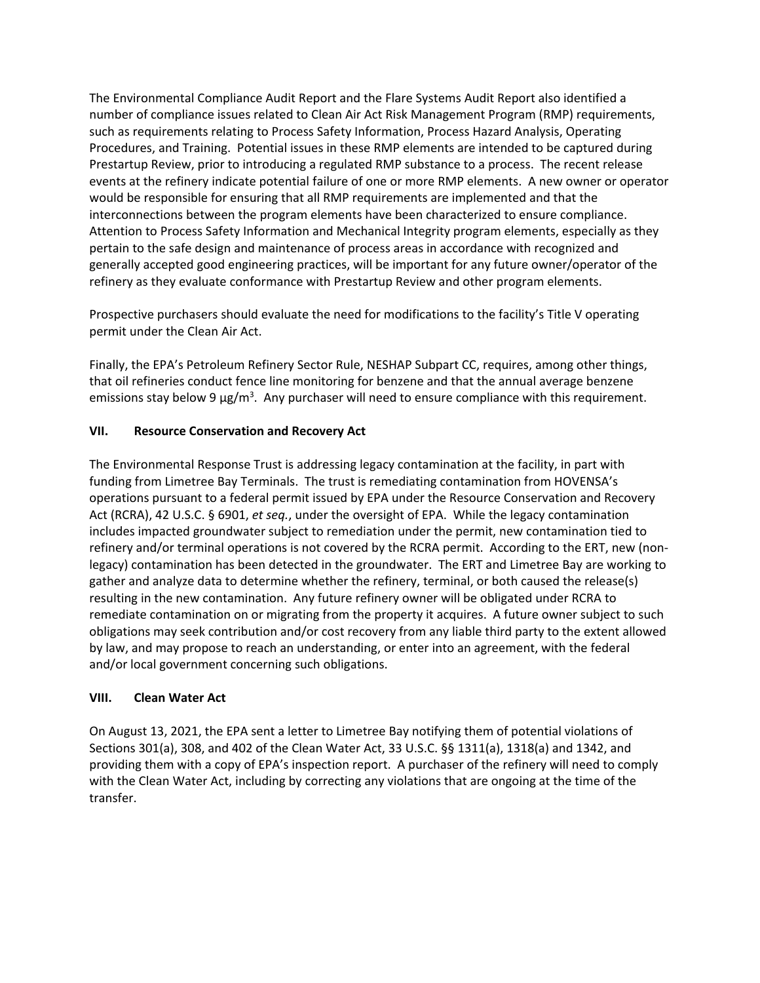The Environmental Compliance Audit Report and the Flare Systems Audit Report also identified a number of compliance issues related to Clean Air Act Risk Management Program (RMP) requirements, such as requirements relating to Process Safety Information, Process Hazard Analysis, Operating Procedures, and Training. Potential issues in these RMP elements are intended to be captured during Prestartup Review, prior to introducing a regulated RMP substance to a process. The recent release events at the refinery indicate potential failure of one or more RMP elements. A new owner or operator would be responsible for ensuring that all RMP requirements are implemented and that the interconnections between the program elements have been characterized to ensure compliance. Attention to Process Safety Information and Mechanical Integrity program elements, especially as they pertain to the safe design and maintenance of process areas in accordance with recognized and generally accepted good engineering practices, will be important for any future owner/operator of the refinery as they evaluate conformance with Prestartup Review and other program elements.

Prospective purchasers should evaluate the need for modifications to the facility's Title V operating permit under the Clean Air Act.

Finally, the EPA's Petroleum Refinery Sector Rule, NESHAP Subpart CC, requires, among other things, that oil refineries conduct fence line monitoring for benzene and that the annual average benzene emissions stay below 9  $\mu$ g/m<sup>3</sup>. Any purchaser will need to ensure compliance with this requirement.

# **VII. Resource Conservation and Recovery Act**

The Environmental Response Trust is addressing legacy contamination at the facility, in part with funding from Limetree Bay Terminals. The trust is remediating contamination from HOVENSA's operations pursuant to a federal permit issued by EPA under the Resource Conservation and Recovery Act (RCRA), 42 U.S.C. § 6901, *et seq.*, under the oversight of EPA. While the legacy contamination includes impacted groundwater subject to remediation under the permit, new contamination tied to refinery and/or terminal operations is not covered by the RCRA permit. According to the ERT, new (nonlegacy) contamination has been detected in the groundwater. The ERT and Limetree Bay are working to gather and analyze data to determine whether the refinery, terminal, or both caused the release(s) resulting in the new contamination. Any future refinery owner will be obligated under RCRA to remediate contamination on or migrating from the property it acquires. A future owner subject to such obligations may seek contribution and/or cost recovery from any liable third party to the extent allowed by law, and may propose to reach an understanding, or enter into an agreement, with the federal and/or local government concerning such obligations.

### **VIII. Clean Water Act**

On August 13, 2021, the EPA sent a letter to Limetree Bay notifying them of potential violations of Sections 301(a), 308, and 402 of the Clean Water Act, 33 U.S.C. §§ 1311(a), 1318(a) and 1342, and providing them with a copy of EPA's inspection report. A purchaser of the refinery will need to comply with the Clean Water Act, including by correcting any violations that are ongoing at the time of the transfer.